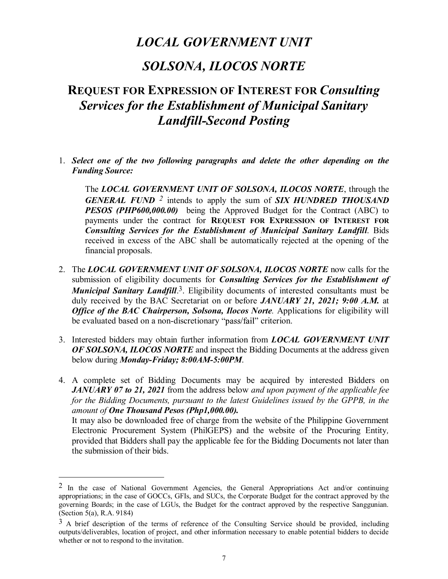## LOCAL GOVERNMENT UNIT

## SOLSONA, ILOCOS NORTE

# REQUEST FOR EXPRESSION OF INTEREST FOR Consulting Services for the Establishment of Municipal Sanitary Landfill-Second Posting

1. Select one of the two following paragraphs and delete the other depending on the Funding Source:<br>The LOCAL GOVERNMENT UNIT OF SOLSONA, ILOCOS NORTE, through the

**GENERAL FUND**  $^2$  intends to apply the sum of **SIX HUNDRED THOUSAND** PESOS (PHP600,000.00) being the Approved Budget for the Contract (ABC) to payments under the contract for REQUEST FOR EXPRESSION OF INTEREST FOR Consulting Services for the Establishment of Municipal Sanitary Landfill. Bids received in excess of the ABC shall be automatically rejected at the opening of the financial proposals.

- 2. The LOCAL GOVERNMENT UNIT OF SOLSONA, ILOCOS NORTE now calls for the submission of eligibility documents for *Consulting Services for the Establishment of* **Municipal Sanitary Landfill.**<sup>3</sup>. Eligibility documents of interested consultants must be duly received by the BAC Secretariat on or before JANUARY 21, 2021; 9:00 A.M. at **Office of the BAC Chairperson, Solsona, Ilocos Norte.** Applications for eligibility will be evaluated based on a non-discretionary "pass/fail" criterion. EXERAL FUND 2 interest or specifical and the COMERCOS CONTEXT, and the CONTEXT of DESITY (FIRE AND PESOS (PHP600,000.00) being the Approved Budget for the Contract (ABC) to payments under the contract (COMERT FOR EXTERENTS Inatical proposas.<br>
The *LOCAL GOVERNMENT UNIT OF SOLSONA, ILOCOS NORTE* now calls for the<br>
submission of eligibility documents for *Consulting Services for the Establishment of*<br> *Municipal Santary Landfill.<sup>3</sup>. Eligibili*
- 3. Interested bidders may obtain further information from **LOCAL GOVERNMENT UNIT** OF SOLSONA, ILOCOS NORTE and inspect the Bidding Documents at the address given below during Monday-Friday; 8:00AM-5:00PM.
- **JANUARY 07 to 21, 2021** from the address below and upon payment of the applicable fee for the Bidding Documents, pursuant to the latest Guidelines issued by the GPPB, in the amount of One Thousand Pesos (Php1,000.00).

It may also be downloaded free of charge from the website of the Philippine Government the submission of their bids.

 $2 \text{ In the case of National Government Agencies, the General Approximation factor and/or continuing.}$ appropriations; in the case of GOCCs, GFIs, and SUCs, the Corporate Budget for the contract approved by the governing Boards; in the case of LGUs, the Budget for the contract approved by the respective Sanggunian. (Section 5(a), R.A. 9184)

 $3$  A brief description of the terms of reference of the Consulting Service should be provided, including outputs/deliverables, location of project, and other information necessary to enable potential bidders to decide whether or not to respond to the invitation.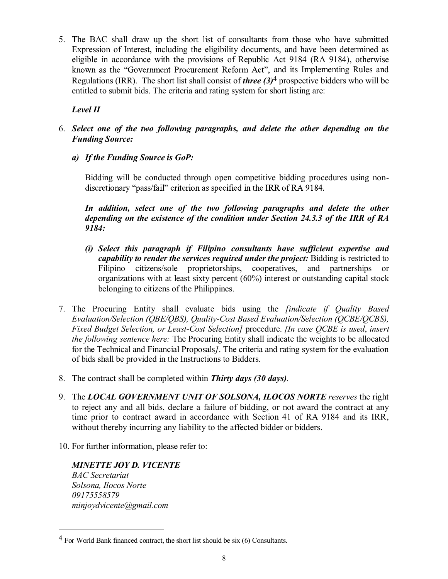5. The BAC shall draw up the short list of consultants from those who have submitted Expression of Interest, including the eligibility documents, and have been determined as eligible in accordance with the provisions of Republic Act 9184 (RA 9184), otherwise known as the "Government Procurement Reform Act", and its Implementing Rules and Regulations (IRR). The short list shall consist of *three*  $(3)^4$  prospective bidders who will be entitled to submit bids. The criteria and rating system for short listing are:

### Level II

- 6. Select one of the two following paragraphs, and delete the other depending on the Funding Source:
	- a) If the Funding Source is GoP:

Bidding will be conducted through open competitive bidding procedures using non-

In addition, select one of the two following paragraphs and delete the other depending on the existence of the condition under Section 24.3.3 of the IRR of RA 9184:

- (i) Select this paragraph if Filipino consultants have sufficient expertise and capability to render the services required under the project: Bidding is restricted to Filipino citizens/sole proprietorships, cooperatives, and partnerships or organizations with at least sixty percent (60%) interest or outstanding capital stock belonging to citizens of the Philippines.
- 7. The Procuring Entity shall evaluate bids using the *[indicate if Quality Based* Evaluation/Selection (QBE/QBS), Quality-Cost Based Evaluation/Selection (QCBE/QCBS), Fixed Budget Selection, or Least-Cost Selection] procedure. [In case QCBE is used, insert the following sentence here: The Procuring Entity shall indicate the weights to be allocated for the Technical and Financial Proposals]. The criteria and rating system for the evaluation of bids shall be provided in the Instructions to Bidders. Example the contract shall be contract shall be contract shall be completed within Thirty days (30 days).<br>
The contract shall be contract shall be contract shall be contract shall be completed with the services required u
- 
- to reject any and all bids, declare a failure of bidding, or not award the contract at any time prior to contract award in accordance with Section 41 of RA 9184 and its IRR, without thereby incurring any liability to the affected bidder or bidders.
- 10. For further information, please refer to:

MINETTE JOY D. VICENTE BAC Secretariat Solsona, Ilocos Norte 09175558579 minjoydvicente@gmail.com

 <sup>4</sup> For World Bank financed contract, the short list should be six (6) Consultants.